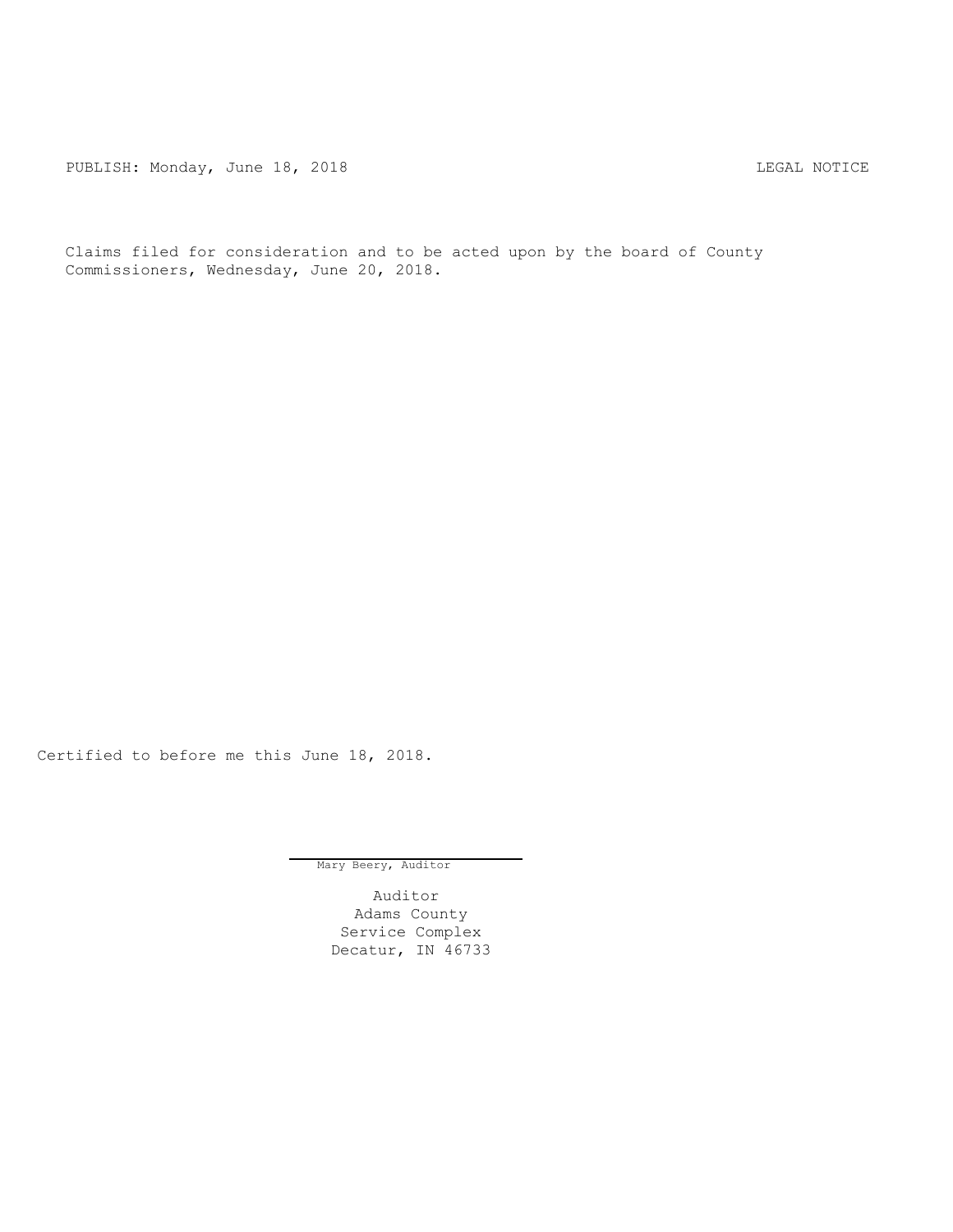PUBLISH: Monday, June 18, 2018 2018 2018

Claims filed for consideration and to be acted upon by the board of County Commissioners, Wednesday, June 20, 2018.

Certified to before me this June 18, 2018.

Mary Beery, Auditor

Auditor Adams County Service Complex Decatur, IN 46733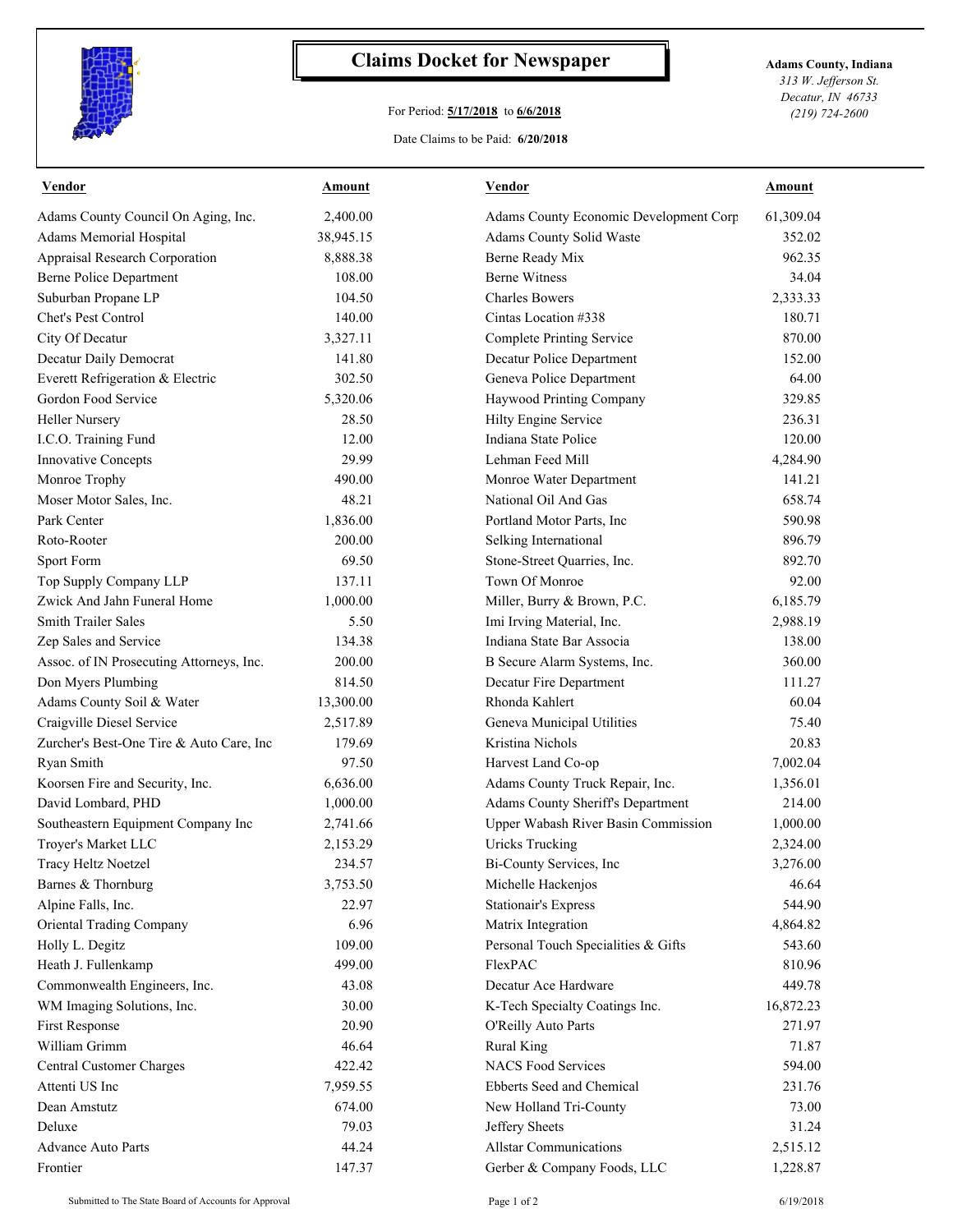

## **Claims Docket for Newspaper Adams County, Indiana**

## For Period: **5/17/2018** to **6/6/2018**

*313 W. Jefferson St. Decatur, IN 46733 (219) 724-2600*

## Date Claims to be Paid: **6/20/2018**

| Vendor                                   | Amount            | Vendor                                 | Amount               |
|------------------------------------------|-------------------|----------------------------------------|----------------------|
| Adams County Council On Aging, Inc.      | 2,400.00          | Adams County Economic Development Corp | 61,309.04            |
| Adams Memorial Hospital                  | 38,945.15         | Adams County Solid Waste               | 352.02               |
| Appraisal Research Corporation           | 8,888.38          | Berne Ready Mix                        | 962.35               |
| Berne Police Department                  | 108.00            | <b>Berne Witness</b>                   | 34.04                |
| Suburban Propane LP                      | 104.50            | <b>Charles Bowers</b>                  | 2,333.33             |
| Chet's Pest Control                      | 140.00            | Cintas Location #338                   | 180.71               |
| City Of Decatur                          | 3,327.11          | <b>Complete Printing Service</b>       | 870.00               |
| Decatur Daily Democrat                   | 141.80            | Decatur Police Department              | 152.00               |
| Everett Refrigeration & Electric         | 302.50            | Geneva Police Department               | 64.00                |
| Gordon Food Service                      | 5,320.06          | Haywood Printing Company               | 329.85               |
| <b>Heller Nursery</b>                    | 28.50             | Hilty Engine Service                   | 236.31               |
| I.C.O. Training Fund                     | 12.00             | Indiana State Police                   | 120.00               |
| Innovative Concepts                      | 29.99             | Lehman Feed Mill                       | 4,284.90             |
| Monroe Trophy                            | 490.00            | Monroe Water Department                | 141.21               |
| Moser Motor Sales, Inc.                  | 48.21             | National Oil And Gas                   | 658.74               |
| Park Center                              | 1,836.00          | Portland Motor Parts, Inc              | 590.98               |
| Roto-Rooter                              | 200.00            | Selking International                  | 896.79               |
| Sport Form                               | 69.50             | Stone-Street Quarries, Inc.            | 892.70               |
| Top Supply Company LLP                   | 137.11            | Town Of Monroe                         | 92.00                |
| Zwick And Jahn Funeral Home              | 1,000.00          | Miller, Burry & Brown, P.C.            | 6,185.79             |
| <b>Smith Trailer Sales</b>               | 5.50              | Imi Irving Material, Inc.              | 2,988.19             |
| Zep Sales and Service                    | 134.38            | Indiana State Bar Associa              | 138.00               |
| Assoc. of IN Prosecuting Attorneys, Inc. | 200.00            | B Secure Alarm Systems, Inc.           | 360.00               |
| Don Myers Plumbing                       | 814.50            | Decatur Fire Department                | 111.27               |
| Adams County Soil & Water                | 13,300.00         | Rhonda Kahlert                         | 60.04                |
| Craigville Diesel Service                | 2,517.89          | Geneva Municipal Utilities             | 75.40                |
| Zurcher's Best-One Tire & Auto Care, Inc | 179.69            | Kristina Nichols                       | 20.83                |
| Ryan Smith                               | 97.50             | Harvest Land Co-op                     | 7,002.04             |
| Koorsen Fire and Security, Inc.          | 6,636.00          | Adams County Truck Repair, Inc.        | 1,356.01             |
| David Lombard, PHD                       | 1,000.00          | Adams County Sheriff's Department      | 214.00               |
| Southeastern Equipment Company Inc       | 2,741.66          | Upper Wabash River Basin Commission    |                      |
| Troyer's Market LLC                      | 2,153.29          | <b>Uricks Trucking</b>                 | 1,000.00<br>2,324.00 |
|                                          | 234.57            | Bi-County Services, Inc.               | 3,276.00             |
| Tracy Heltz Noetzel                      |                   |                                        | 46.64                |
| Barnes & Thornburg                       | 3,753.50<br>22.97 | Michelle Hackenjos                     | 544.90               |
| Alpine Falls, Inc.                       |                   | <b>Stationair's Express</b>            | 4,864.82             |
| Oriental Trading Company                 | 6.96              | Matrix Integration                     |                      |
| Holly L. Degitz                          | 109.00            | Personal Touch Specialities & Gifts    | 543.60               |
| Heath J. Fullenkamp                      | 499.00            | FlexPAC                                | 810.96               |
| Commonwealth Engineers, Inc.             | 43.08             | Decatur Ace Hardware                   | 449.78               |
| WM Imaging Solutions, Inc.               | 30.00             | K-Tech Specialty Coatings Inc.         | 16,872.23            |
| First Response                           | 20.90             | O'Reilly Auto Parts                    | 271.97               |
| William Grimm                            | 46.64             | <b>Rural King</b>                      | 71.87                |
| <b>Central Customer Charges</b>          | 422.42            | <b>NACS Food Services</b>              | 594.00               |
| Attenti US Inc                           | 7,959.55          | Ebberts Seed and Chemical              | 231.76               |
| Dean Amstutz                             | 674.00            | New Holland Tri-County                 | 73.00                |
| Deluxe                                   | 79.03             | Jeffery Sheets                         | 31.24                |
| <b>Advance Auto Parts</b>                | 44.24             | <b>Allstar Communications</b>          | 2,515.12             |
| Frontier                                 | 147.37            | Gerber & Company Foods, LLC            | 1,228.87             |